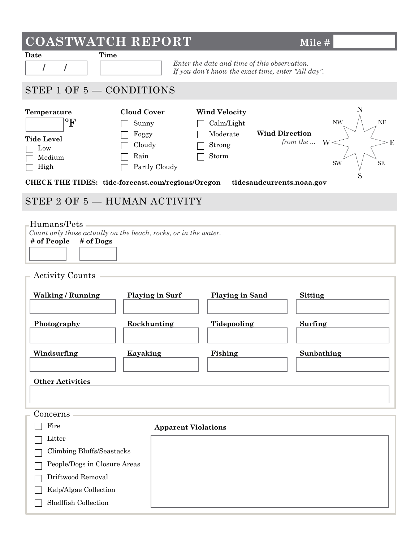| <b>COASTWATCH REPORT</b>                                                                                                                                           |                                                                         |                                                                                            | Mile#                                                                                  |  |
|--------------------------------------------------------------------------------------------------------------------------------------------------------------------|-------------------------------------------------------------------------|--------------------------------------------------------------------------------------------|----------------------------------------------------------------------------------------|--|
| <b>Time</b><br>Date<br>Enter the date and time of this observation.<br>$\overline{I}$<br>$\prime$<br>If you don't know the exact time, enter "All day".            |                                                                         |                                                                                            |                                                                                        |  |
| STEP $1$ OF $5 -$ CONDITIONS                                                                                                                                       |                                                                         |                                                                                            |                                                                                        |  |
| Temperature<br>$\mathrm{^{o}F}$<br><b>Tide Level</b><br>Low<br>Medium<br>High<br><b>CHECK THE TIDES:</b> tide-forecast.com/regions/Oregon                          | <b>Cloud Cover</b><br>Sunny<br>Foggy<br>Cloudy<br>Rain<br>Partly Cloudy | <b>Wind Velocity</b><br>Calm/Light<br><b>Wind Direction</b><br>Moderate<br>Strong<br>Storm | N<br>$\ensuremath{\text{NW}}$<br>NE<br>from the  W<br>Έ<br><b>SW</b><br><b>SE</b><br>S |  |
|                                                                                                                                                                    |                                                                         | tidesandcurrents.noaa.gov                                                                  |                                                                                        |  |
| STEP 2 OF 5 - HUMAN ACTIVITY                                                                                                                                       |                                                                         |                                                                                            |                                                                                        |  |
| Humans/Pets -<br>Count only those actually on the beach, rocks, or in the water.<br># of People<br># of Dogs<br><b>Activity Counts</b><br><b>Walking / Running</b> | <b>Playing in Surf</b>                                                  | <b>Playing in Sand</b>                                                                     | <b>Sitting</b>                                                                         |  |
| Photography                                                                                                                                                        | Rockhunting                                                             | Tidepooling                                                                                | Surfing                                                                                |  |
| Windsurfing                                                                                                                                                        | Kayaking                                                                | Fishing                                                                                    | Sunbathing                                                                             |  |
| <b>Other Activities</b>                                                                                                                                            |                                                                         |                                                                                            |                                                                                        |  |
|                                                                                                                                                                    |                                                                         |                                                                                            |                                                                                        |  |
| Concerns                                                                                                                                                           |                                                                         |                                                                                            |                                                                                        |  |
| Fire                                                                                                                                                               | <b>Apparent Violations</b>                                              |                                                                                            |                                                                                        |  |
| Litter<br>Climbing Bluffs/Seastacks                                                                                                                                |                                                                         |                                                                                            |                                                                                        |  |
| People/Dogs in Closure Areas                                                                                                                                       |                                                                         |                                                                                            |                                                                                        |  |
| Driftwood Removal                                                                                                                                                  |                                                                         |                                                                                            |                                                                                        |  |
| Kelp/Algae Collection                                                                                                                                              |                                                                         |                                                                                            |                                                                                        |  |

Shellfish Collection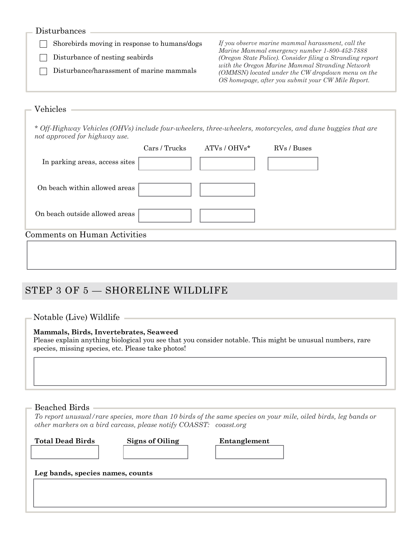| Disturbances |  |
|--------------|--|
|--------------|--|

Disturbance of nesting seabirds 

Disturbance/harassment of marine mammals 

Shorebirds moving in response to humans/dogs *If you observe marine mammal harassment, call the*   *Marine Mammal emergency number 1-800-452-7888 (Oregon State Police). Consider filing a Stranding report with the Oregon Marine Mammal Stranding Network (OMMSN) located under the CW dropdown menu on the OS homepage, after you submit your CW Mile Report.*

| Vehicles                                                                                                                                     |               |                |             |  |
|----------------------------------------------------------------------------------------------------------------------------------------------|---------------|----------------|-------------|--|
| * Off-Highway Vehicles (OHVs) include four-wheelers, three-wheelers, motorcycles, and dune buggies that are<br>not approved for highway use. |               |                |             |  |
|                                                                                                                                              | Cars / Trucks | $ATVs / OHVs*$ | RVs / Buses |  |
| In parking areas, access sites                                                                                                               |               |                |             |  |
| On beach within allowed areas                                                                                                                |               |                |             |  |
| On beach outside allowed areas                                                                                                               |               |                |             |  |
| Comments on Human Activities                                                                                                                 |               |                |             |  |
|                                                                                                                                              |               |                |             |  |

## STEP 3 OF 5 — SHORELINE WILDLIFE

### Notable (Live) Wildlife

### **Mammals, Birds, Invertebrates, Seaweed**

Please explain anything biological you see that you consider notable. This might be unusual numbers, rare species, missing species, etc. Please take photos!

### Beached Birds

*To report unusual/rare species, more than 10 birds of the same species on your mile, oiled birds, leg bands or other markers on a bird carcass, please notify COASST: coasst.org*

**Total Dead Birds Signs of Oiling Entanglement**

**Leg bands, species names, counts**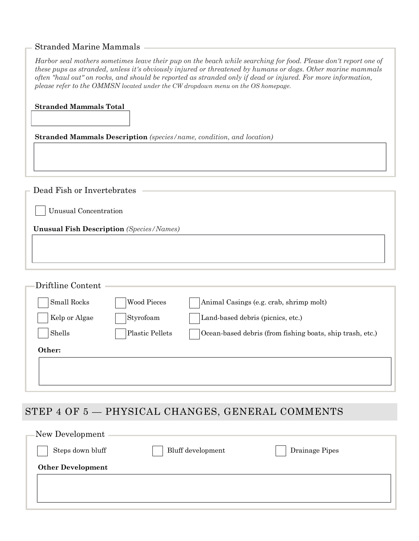### Stranded Marine Mammals

| Harbor seal mothers sometimes leave their pup on the beach while searching for food. Please don't report one of |
|-----------------------------------------------------------------------------------------------------------------|
| these pups as stranded, unless it's obviously injured or threatened by humans or dogs. Other marine mammals     |
| often "haul out" on rocks, and should be reported as stranded only if dead or injured. For more information,    |
| please refer to the OMMSN located under the CW dropdown menu on the OS homepage.                                |

| <b>Stranded Mammals Total</b>                                        |                                                 |                                                           |  |
|----------------------------------------------------------------------|-------------------------------------------------|-----------------------------------------------------------|--|
| Stranded Mammals Description (species/name, condition, and location) |                                                 |                                                           |  |
|                                                                      |                                                 |                                                           |  |
|                                                                      |                                                 |                                                           |  |
| Dead Fish or Invertebrates                                           |                                                 |                                                           |  |
| Unusual Concentration                                                |                                                 |                                                           |  |
|                                                                      | <b>Unusual Fish Description</b> (Species/Names) |                                                           |  |
|                                                                      |                                                 |                                                           |  |
|                                                                      |                                                 |                                                           |  |
|                                                                      |                                                 |                                                           |  |
| Driftline Content                                                    |                                                 |                                                           |  |
| Small Rocks                                                          | <b>Wood Pieces</b>                              | Animal Casings (e.g. crab, shrimp molt)                   |  |
| Kelp or Algae                                                        | Styrofoam                                       | Land-based debris (picnics, etc.)                         |  |
| Shells                                                               | <b>Plastic Pellets</b>                          | Ocean-based debris (from fishing boats, ship trash, etc.) |  |
| Other:                                                               |                                                 |                                                           |  |
|                                                                      |                                                 |                                                           |  |
|                                                                      |                                                 |                                                           |  |

# STEP 4 OF 5 — PHYSICAL CHANGES, GENERAL COMMENTS

| New Development          |                   |                |  |
|--------------------------|-------------------|----------------|--|
| Steps down bluff         | Bluff development | Drainage Pipes |  |
| <b>Other Development</b> |                   |                |  |
|                          |                   |                |  |
|                          |                   |                |  |